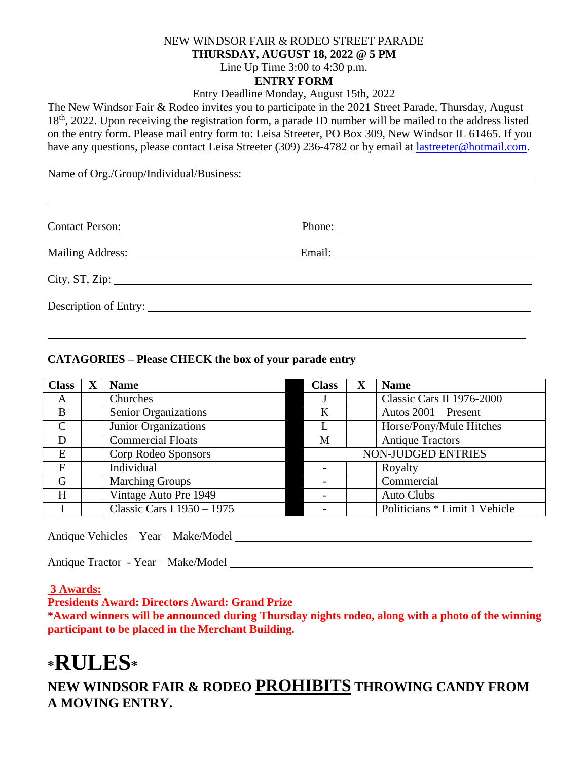### NEW WINDSOR FAIR & RODEO STREET PARADE **THURSDAY, AUGUST 18, 2022 @ 5 PM** Line Up Time 3:00 to 4:30 p.m. **ENTRY FORM**

Entry Deadline Monday, August 15th, 2022

The New Windsor Fair & Rodeo invites you to participate in the 2021 Street Parade, Thursday, August 18<sup>th</sup>, 2022. Upon receiving the registration form, a parade ID number will be mailed to the address listed on the entry form. Please mail entry form to: Leisa Streeter, PO Box 309, New Windsor IL 61465. If you have any questions, please contact Leisa Streeter (309) 236-4782 or by email at [lastreeter@hotmail.com.](mailto:lastreeter@hotmail.com)

Name of Org./Group/Individual/Business:

| Contact Person:       | Phone: $\overline{\qquad \qquad }$ |
|-----------------------|------------------------------------|
|                       |                                    |
|                       |                                    |
|                       |                                    |
| Description of Entry: |                                    |
|                       |                                    |

### **CATAGORIES – Please CHECK the box of your parade entry**

| <b>Class</b>  | <b>Name</b>                | <b>Class</b> | <b>Name</b>                   |
|---------------|----------------------------|--------------|-------------------------------|
| A             | Churches                   |              | Classic Cars II 1976-2000     |
| B             | Senior Organizations       | $\bf K$      | Autos $2001$ – Present        |
| $\mathcal{C}$ | Junior Organizations       |              | Horse/Pony/Mule Hitches       |
| D             | <b>Commercial Floats</b>   | M            | <b>Antique Tractors</b>       |
| E             | Corp Rodeo Sponsors        |              | NON-JUDGED ENTRIES            |
| $\mathbf{F}$  | Individual                 |              | Royalty                       |
| G             | <b>Marching Groups</b>     |              | Commercial                    |
| H             | Vintage Auto Pre 1949      |              | <b>Auto Clubs</b>             |
|               | Classic Cars I 1950 - 1975 |              | Politicians * Limit 1 Vehicle |

Antique Vehicles – Year – Make/Model

Antique Tractor - Year – Make/Model

#### **3 Awards:**

**Presidents Award: Directors Award: Grand Prize**

**\*Award winners will be announced during Thursday nights rodeo, along with a photo of the winning participant to be placed in the Merchant Building.**

# **\*RULES\***

**NEW WINDSOR FAIR & RODEO PROHIBITS THROWING CANDY FROM A MOVING ENTRY.**